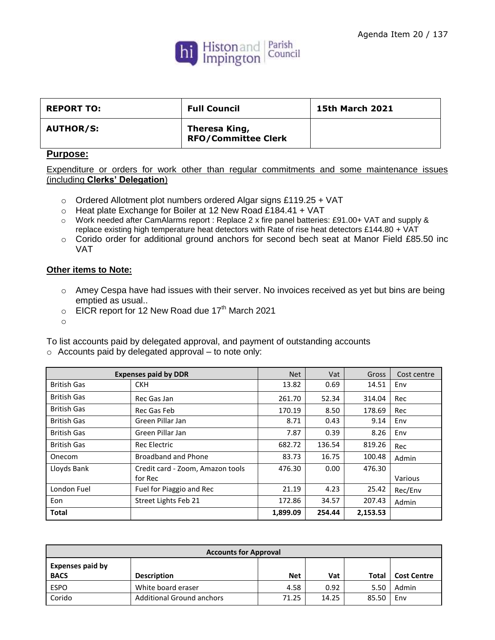

| <b>REPORT TO:</b> | <b>Full Council</b>                         | <b>15th March 2021</b> |
|-------------------|---------------------------------------------|------------------------|
| <b>AUTHOR/S:</b>  | Theresa King,<br><b>RFO/Committee Clerk</b> |                        |

## **Purpose:**

Expenditure or orders for work other than regular commitments and some maintenance issues (including **Clerks' Delegation**)

- o Ordered Allotment plot numbers ordered Algar signs £119.25 + VAT
- o Heat plate Exchange for Boiler at 12 New Road £184.41 + VAT
- o Work needed after CamAlarms report : Replace 2 x fire panel batteries: £91.00+ VAT and supply & replace existing high temperature heat detectors with Rate of rise heat detectors £144.80 + VAT
- o Corido order for additional ground anchors for second bech seat at Manor Field £85.50 inc VAT

## **Other items to Note:**

- o Amey Cespa have had issues with their server. No invoices received as yet but bins are being emptied as usual..
- $\circ$  EICR report for 12 New Road due 17<sup>th</sup> March 2021
- o

To list accounts paid by delegated approval, and payment of outstanding accounts

 $\circ$  Accounts paid by delegated approval – to note only:

|                    | <b>Expenses paid by DDR</b>      | <b>Net</b> | Vat    | Gross    | Cost centre |
|--------------------|----------------------------------|------------|--------|----------|-------------|
| <b>British Gas</b> | <b>CKH</b>                       | 13.82      | 0.69   | 14.51    | Env         |
| <b>British Gas</b> | Rec Gas Jan                      | 261.70     | 52.34  | 314.04   | Rec         |
| <b>British Gas</b> | Rec Gas Feb                      | 170.19     | 8.50   | 178.69   | Rec         |
| British Gas        | Green Pillar Jan                 | 8.71       | 0.43   | 9.14     | Env         |
| <b>British Gas</b> | Green Pillar Jan                 | 7.87       | 0.39   | 8.26     | Env         |
| British Gas        | <b>Rec Electric</b>              | 682.72     | 136.54 | 819.26   | Rec         |
| Onecom             | Broadband and Phone              | 83.73      | 16.75  | 100.48   | Admin       |
| Lloyds Bank        | Credit card - Zoom, Amazon tools | 476.30     | 0.00   | 476.30   |             |
|                    | for Rec                          |            |        |          | Various     |
| London Fuel        | Fuel for Piaggio and Rec         | 21.19      | 4.23   | 25.42    | Rec/Env     |
| Eon                | Street Lights Feb 21             | 172.86     | 34.57  | 207.43   | Admin       |
| <b>Total</b>       |                                  | 1,899.09   | 254.44 | 2,153.53 |             |

| <b>Accounts for Approval</b>           |                                  |            |       |       |                    |
|----------------------------------------|----------------------------------|------------|-------|-------|--------------------|
| <b>Expenses paid by</b><br><b>BACS</b> | <b>Description</b>               | <b>Net</b> | Vat   | Total | <b>Cost Centre</b> |
| <b>ESPO</b>                            | White board eraser               | 4.58       | 0.92  | 5.50  | Admin              |
| Corido                                 | <b>Additional Ground anchors</b> | 71.25      | 14.25 | 85.50 | Env                |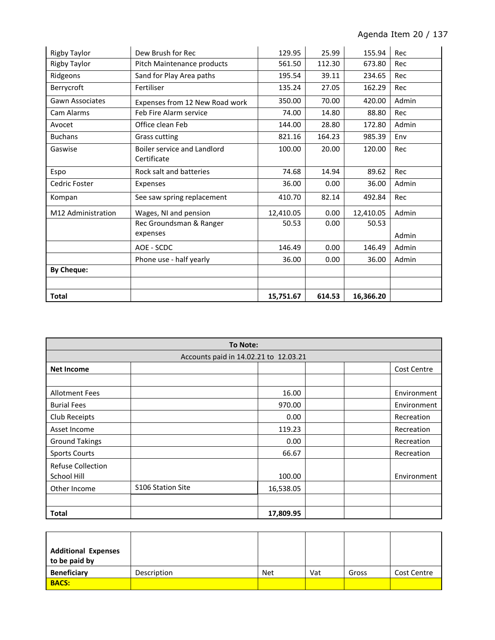| <b>Rigby Taylor</b>    | Dew Brush for Rec              | 129.95    | 25.99  | 155.94    | Rec   |
|------------------------|--------------------------------|-----------|--------|-----------|-------|
| <b>Rigby Taylor</b>    | Pitch Maintenance products     | 561.50    | 112.30 | 673.80    | Rec   |
| Ridgeons               | Sand for Play Area paths       | 195.54    | 39.11  | 234.65    | Rec   |
| Berrycroft             | Fertiliser                     | 135.24    | 27.05  | 162.29    | Rec   |
| <b>Gawn Associates</b> | Expenses from 12 New Road work | 350.00    | 70.00  | 420.00    | Admin |
| Cam Alarms             | Feb Fire Alarm service         | 74.00     | 14.80  | 88.80     | Rec   |
| Avocet                 | Office clean Feb               | 144.00    | 28.80  | 172.80    | Admin |
| <b>Buchans</b>         | <b>Grass cutting</b>           | 821.16    | 164.23 | 985.39    | Env   |
| Gaswise                | Boiler service and Landlord    | 100.00    | 20.00  | 120.00    | Rec   |
|                        | Certificate                    |           |        |           |       |
| Espo                   | Rock salt and batteries        | 74.68     | 14.94  | 89.62     | Rec   |
| Cedric Foster          | Expenses                       | 36.00     | 0.00   | 36.00     | Admin |
| Kompan                 | See saw spring replacement     | 410.70    | 82.14  | 492.84    | Rec   |
| M12 Administration     | Wages, NI and pension          | 12.410.05 | 0.00   | 12,410.05 | Admin |
|                        | Rec Groundsman & Ranger        | 50.53     | 0.00   | 50.53     |       |
|                        | expenses                       |           |        |           | Admin |
|                        | AOE - SCDC                     | 146.49    | 0.00   | 146.49    | Admin |
|                        | Phone use - half yearly        | 36.00     | 0.00   | 36.00     | Admin |
| <b>By Cheque:</b>      |                                |           |        |           |       |
|                        |                                |           |        |           |       |
| <b>Total</b>           |                                | 15,751.67 | 614.53 | 16,366.20 |       |

| <b>To Note:</b>                       |                   |           |             |  |
|---------------------------------------|-------------------|-----------|-------------|--|
| Accounts paid in 14.02.21 to 12.03.21 |                   |           |             |  |
| <b>Net Income</b>                     |                   |           | Cost Centre |  |
|                                       |                   |           |             |  |
| <b>Allotment Fees</b>                 |                   | 16.00     | Environment |  |
| <b>Burial Fees</b>                    |                   | 970.00    | Environment |  |
| Club Receipts                         |                   | 0.00      | Recreation  |  |
| Asset Income                          |                   | 119.23    | Recreation  |  |
| <b>Ground Takings</b>                 |                   | 0.00      | Recreation  |  |
| <b>Sports Courts</b>                  |                   | 66.67     | Recreation  |  |
| <b>Refuse Collection</b>              |                   |           |             |  |
| School Hill                           |                   | 100.00    | Environment |  |
| Other Income                          | S106 Station Site | 16,538.05 |             |  |
|                                       |                   |           |             |  |
| Total                                 |                   | 17,809.95 |             |  |

| <b>Additional Expenses</b><br>to be paid by |             |     |     |       |             |
|---------------------------------------------|-------------|-----|-----|-------|-------------|
| <b>Beneficiary</b>                          | Description | Net | Vat | Gross | Cost Centre |
| <b>BACS:</b>                                |             |     |     |       |             |